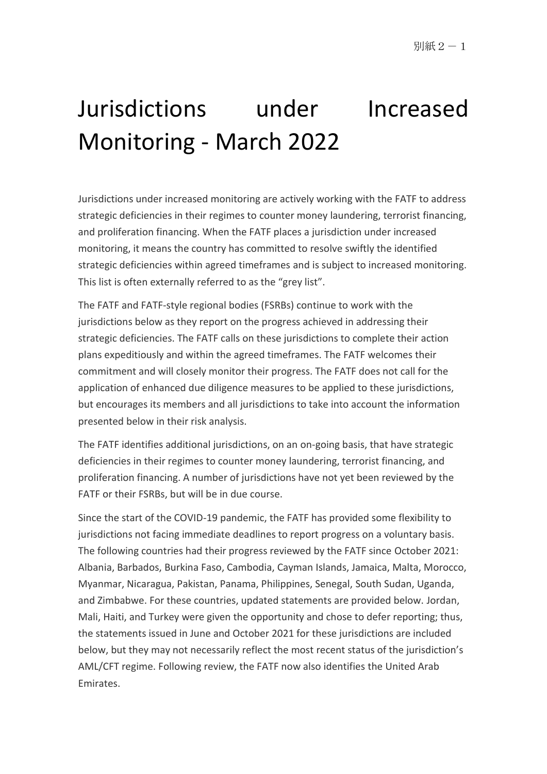# Jurisdictions under Increased Monitoring - March 2022

Jurisdictions under increased monitoring are actively working with the FATF to address strategic deficiencies in their regimes to counter money laundering, terrorist financing, and proliferation financing. When the FATF places a jurisdiction under increased monitoring, it means the country has committed to resolve swiftly the identified strategic deficiencies within agreed timeframes and is subject to increased monitoring. This list is often externally referred to as the "grey list".

The FATF and FATF-style regional bodies (FSRBs) continue to work with the jurisdictions below as they report on the progress achieved in addressing their strategic deficiencies. The FATF calls on these jurisdictions to complete their action plans expeditiously and within the agreed timeframes. The FATF welcomes their commitment and will closely monitor their progress. The FATF does not call for the application of enhanced due diligence measures to be applied to these jurisdictions, but encourages its members and all jurisdictions to take into account the information presented below in their risk analysis.

The FATF identifies additional jurisdictions, on an on-going basis, that have strategic deficiencies in their regimes to counter money laundering, terrorist financing, and proliferation financing. A number of jurisdictions have not yet been reviewed by the FATF or their FSRBs, but will be in due course.

Since the start of the COVID-19 pandemic, the FATF has provided some flexibility to jurisdictions not facing immediate deadlines to report progress on a voluntary basis. The following countries had their progress reviewed by the FATF since October 2021: Albania, Barbados, Burkina Faso, Cambodia, Cayman Islands, Jamaica, Malta, Morocco, Myanmar, Nicaragua, Pakistan, Panama, Philippines, Senegal, South Sudan, Uganda, and Zimbabwe. For these countries, updated statements are provided below. Jordan, Mali, Haiti, and Turkey were given the opportunity and chose to defer reporting; thus, the statements issued in June and October 2021 for these jurisdictions are included below, but they may not necessarily reflect the most recent status of the jurisdiction's AML/CFT regime. Following review, the FATF now also identifies the United Arab Emirates.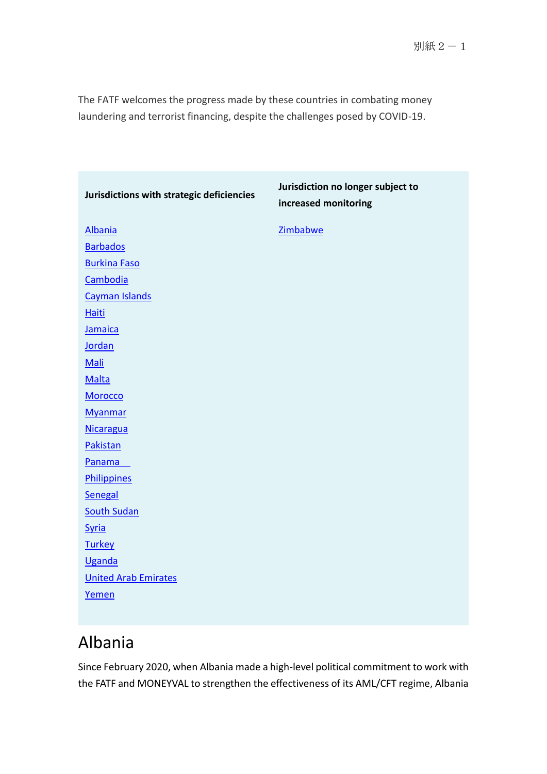The FATF welcomes the progress made by these countries in combating money laundering and terrorist financing, despite the challenges posed by COVID-19.

| Jurisdictions with strategic deficiencies | Jurisdiction no longer subject to<br>increased monitoring |
|-------------------------------------------|-----------------------------------------------------------|
| <b>Albania</b>                            | Zimbabwe                                                  |
| <b>Barbados</b>                           |                                                           |
| <b>Burkina Faso</b>                       |                                                           |
| Cambodia                                  |                                                           |
| Cayman Islands                            |                                                           |
| <b>Haiti</b>                              |                                                           |
| Jamaica                                   |                                                           |
| Jordan                                    |                                                           |
| Mali                                      |                                                           |
| <b>Malta</b>                              |                                                           |
| Morocco                                   |                                                           |
| <b>Myanmar</b>                            |                                                           |
| <b>Nicaragua</b>                          |                                                           |
| Pakistan                                  |                                                           |
| Panama                                    |                                                           |
| <b>Philippines</b>                        |                                                           |
| Senegal                                   |                                                           |
| <b>South Sudan</b>                        |                                                           |
| <b>Syria</b>                              |                                                           |
| <b>Turkey</b>                             |                                                           |
| <b>Uganda</b>                             |                                                           |
| <b>United Arab Emirates</b>               |                                                           |
| Yemen                                     |                                                           |
|                                           |                                                           |

## Albania

Since February 2020, when Albania made a high-level political commitment to work with the FATF and MONEYVAL to strengthen the effectiveness of its AML/CFT regime, Albania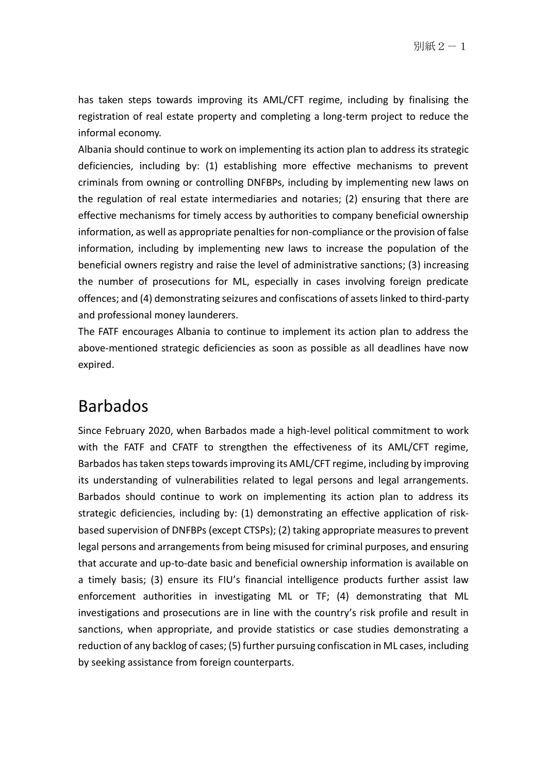has taken steps towards improving its AML/CFT regime, including by finalising the registration of real estate property and completing a long-term project to reduce the informal economy.

Albania should continue to work on implementing its action plan to address its strategic deficiencies, including by: (1) establishing more effective mechanisms to prevent criminals from owning or controlling DNFBPs, including by implementing new laws on the regulation of real estate intermediaries and notaries; (2) ensuring that there are effective mechanisms for timely access by authorities to company beneficial ownership information, as well as appropriate penalties for non-compliance or the provision of false information, including by implementing new laws to increase the population of the beneficial owners registry and raise the level of administrative sanctions; (3) increasing the number of prosecutions for ML, especially in cases involving foreign predicate offences; and (4) demonstrating seizures and confiscations of assets linked to third-party and professional money launderers.

The FATF encourages Albania to continue to implement its action plan to address the above-mentioned strategic deficiencies as soon as possible as all deadlines have now expired.

### Barbados

Since February 2020, when Barbados made a high-level political commitment to work with the FATF and CFATF to strengthen the effectiveness of its AML/CFT regime, Barbados has taken steps towards improving its AML/CFT regime, including by improving its understanding of vulnerabilities related to legal persons and legal arrangements. Barbados should continue to work on implementing its action plan to address its strategic deficiencies, including by: (1) demonstrating an effective application of riskbased supervision of DNFBPs (except CTSPs); (2) taking appropriate measures to prevent legal persons and arrangements from being misused for criminal purposes, and ensuring that accurate and up-to-date basic and beneficial ownership information is available on a timely basis; (3) ensure its FIU's financial intelligence products further assist law enforcement authorities in investigating ML or TF; (4) demonstrating that ML investigations and prosecutions are in line with the country's risk profile and result in sanctions, when appropriate, and provide statistics or case studies demonstrating a reduction of any backlog of cases; (5) further pursuing confiscation in ML cases, including by seeking assistance from foreign counterparts.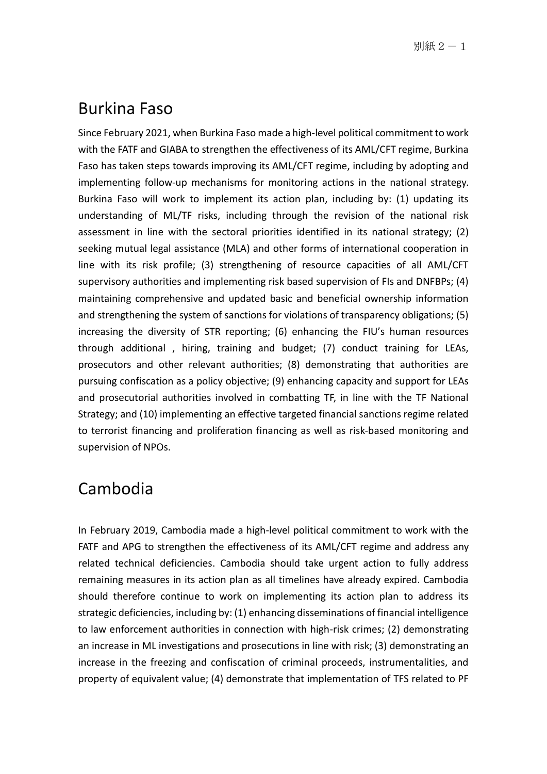#### Burkina Faso

Since February 2021, when Burkina Faso made a high-level political commitment to work with the FATF and GIABA to strengthen the effectiveness of its AML/CFT regime, Burkina Faso has taken steps towards improving its AML/CFT regime, including by adopting and implementing follow-up mechanisms for monitoring actions in the national strategy. Burkina Faso will work to implement its action plan, including by: (1) updating its understanding of ML/TF risks, including through the revision of the national risk assessment in line with the sectoral priorities identified in its national strategy; (2) seeking mutual legal assistance (MLA) and other forms of international cooperation in line with its risk profile; (3) strengthening of resource capacities of all AML/CFT supervisory authorities and implementing risk based supervision of FIs and DNFBPs; (4) maintaining comprehensive and updated basic and beneficial ownership information and strengthening the system of sanctions for violations of transparency obligations; (5) increasing the diversity of STR reporting; (6) enhancing the FIU's human resources through additional , hiring, training and budget; (7) conduct training for LEAs, prosecutors and other relevant authorities; (8) demonstrating that authorities are pursuing confiscation as a policy objective; (9) enhancing capacity and support for LEAs and prosecutorial authorities involved in combatting TF, in line with the TF National Strategy; and (10) implementing an effective targeted financial sanctions regime related to terrorist financing and proliferation financing as well as risk-based monitoring and supervision of NPOs.

#### Cambodia

In February 2019, Cambodia made a high-level political commitment to work with the FATF and APG to strengthen the effectiveness of its AML/CFT regime and address any related technical deficiencies. Cambodia should take urgent action to fully address remaining measures in its action plan as all timelines have already expired. Cambodia should therefore continue to work on implementing its action plan to address its strategic deficiencies, including by: (1) enhancing disseminations of financial intelligence to law enforcement authorities in connection with high-risk crimes; (2) demonstrating an increase in ML investigations and prosecutions in line with risk; (3) demonstrating an increase in the freezing and confiscation of criminal proceeds, instrumentalities, and property of equivalent value; (4) demonstrate that implementation of TFS related to PF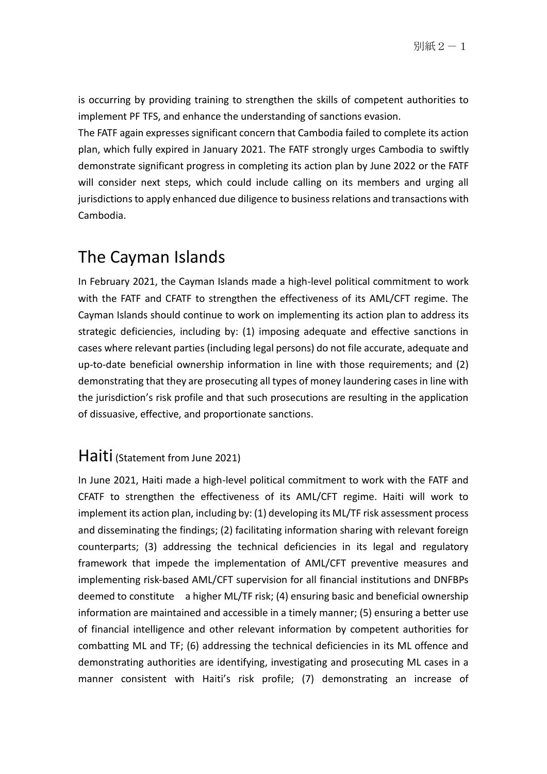is occurring by providing training to strengthen the skills of competent authorities to implement PF TFS, and enhance the understanding of sanctions evasion.

The FATF again expresses significant concern that Cambodia failed to complete its action plan, which fully expired in January 2021. The FATF strongly urges Cambodia to swiftly demonstrate significant progress in completing its action plan by June 2022 or the FATF will consider next steps, which could include calling on its members and urging all jurisdictions to apply enhanced due diligence to business relations and transactions with Cambodia.

#### The Cayman Islands

In February 2021, the Cayman Islands made a high-level political commitment to work with the FATF and CFATF to strengthen the effectiveness of its AML/CFT regime. The Cayman Islands should continue to work on implementing its action plan to address its strategic deficiencies, including by: (1) imposing adequate and effective sanctions in cases where relevant parties (including legal persons) do not file accurate, adequate and up-to-date beneficial ownership information in line with those requirements; and (2) demonstrating that they are prosecuting all types of money laundering cases in line with the jurisdiction's risk profile and that such prosecutions are resulting in the application of dissuasive, effective, and proportionate sanctions.

#### Haiti (Statement from June 2021)

In June 2021, Haiti made a high-level political commitment to work with the FATF and CFATF to strengthen the effectiveness of its AML/CFT regime. Haiti will work to implement its action plan, including by: (1) developing its ML/TF risk assessment process and disseminating the findings; (2) facilitating information sharing with relevant foreign counterparts; (3) addressing the technical deficiencies in its legal and regulatory framework that impede the implementation of AML/CFT preventive measures and implementing risk-based AML/CFT supervision for all financial institutions and DNFBPs deemed to constitute a higher ML/TF risk; (4) ensuring basic and beneficial ownership information are maintained and accessible in a timely manner; (5) ensuring a better use of financial intelligence and other relevant information by competent authorities for combatting ML and TF; (6) addressing the technical deficiencies in its ML offence and demonstrating authorities are identifying, investigating and prosecuting ML cases in a manner consistent with Haiti's risk profile; (7) demonstrating an increase of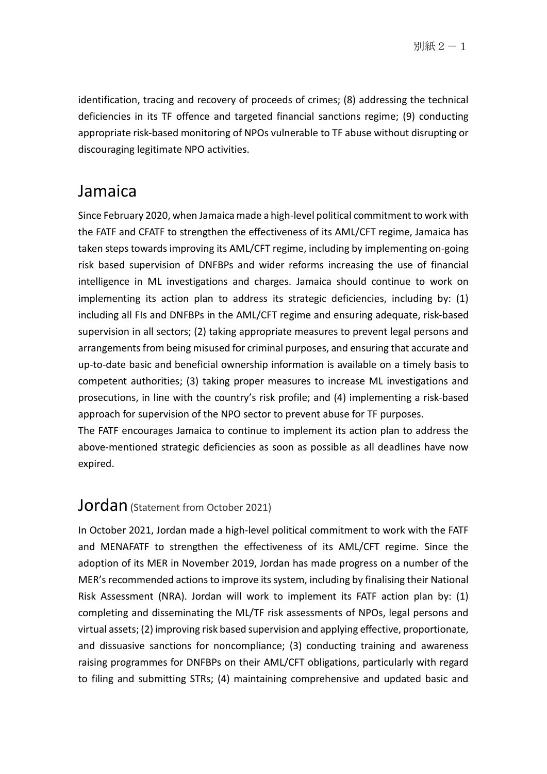identification, tracing and recovery of proceeds of crimes; (8) addressing the technical deficiencies in its TF offence and targeted financial sanctions regime; (9) conducting appropriate risk-based monitoring of NPOs vulnerable to TF abuse without disrupting or discouraging legitimate NPO activities.

#### Jamaica

Since February 2020, when Jamaica made a high-level political commitment to work with the FATF and CFATF to strengthen the effectiveness of its AML/CFT regime, Jamaica has taken steps towards improving its AML/CFT regime, including by implementing on-going risk based supervision of DNFBPs and wider reforms increasing the use of financial intelligence in ML investigations and charges. Jamaica should continue to work on implementing its action plan to address its strategic deficiencies, including by: (1) including all FIs and DNFBPs in the AML/CFT regime and ensuring adequate, risk-based supervision in all sectors; (2) taking appropriate measures to prevent legal persons and arrangements from being misused for criminal purposes, and ensuring that accurate and up-to-date basic and beneficial ownership information is available on a timely basis to competent authorities; (3) taking proper measures to increase ML investigations and prosecutions, in line with the country's risk profile; and (4) implementing a risk-based approach for supervision of the NPO sector to prevent abuse for TF purposes.

The FATF encourages Jamaica to continue to implement its action plan to address the above-mentioned strategic deficiencies as soon as possible as all deadlines have now expired.

#### **Jordan** (Statement from October 2021)

In October 2021, Jordan made a high-level political commitment to work with the FATF and MENAFATF to strengthen the effectiveness of its AML/CFT regime. Since the adoption of its MER in November 2019, Jordan has made progress on a number of the MER's recommended actions to improve its system, including by finalising their National Risk Assessment (NRA). Jordan will work to implement its FATF action plan by: (1) completing and disseminating the ML/TF risk assessments of NPOs, legal persons and virtual assets; (2) improving risk based supervision and applying effective, proportionate, and dissuasive sanctions for noncompliance; (3) conducting training and awareness raising programmes for DNFBPs on their AML/CFT obligations, particularly with regard to filing and submitting STRs; (4) maintaining comprehensive and updated basic and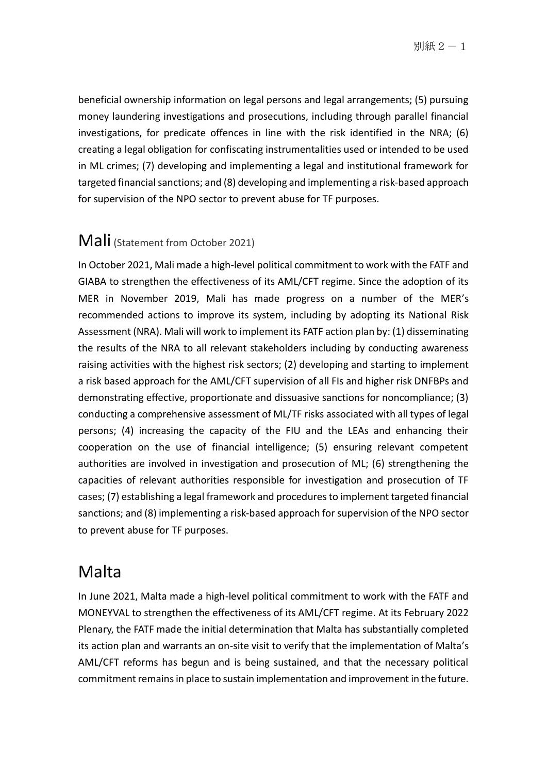別紙 $2-1$ 

beneficial ownership information on legal persons and legal arrangements; (5) pursuing money laundering investigations and prosecutions, including through parallel financial investigations, for predicate offences in line with the risk identified in the NRA; (6) creating a legal obligation for confiscating instrumentalities used or intended to be used in ML crimes; (7) developing and implementing a legal and institutional framework for targeted financial sanctions; and (8) developing and implementing a risk-based approach for supervision of the NPO sector to prevent abuse for TF purposes.

#### Mali (Statement from October 2021)

In October 2021, Mali made a high-level political commitment to work with the FATF and GIABA to strengthen the effectiveness of its AML/CFT regime. Since the adoption of its MER in November 2019, Mali has made progress on a number of the MER's recommended actions to improve its system, including by adopting its National Risk Assessment (NRA). Mali will work to implement its FATF action plan by: (1) disseminating the results of the NRA to all relevant stakeholders including by conducting awareness raising activities with the highest risk sectors; (2) developing and starting to implement a risk based approach for the AML/CFT supervision of all FIs and higher risk DNFBPs and demonstrating effective, proportionate and dissuasive sanctions for noncompliance; (3) conducting a comprehensive assessment of ML/TF risks associated with all types of legal persons; (4) increasing the capacity of the FIU and the LEAs and enhancing their cooperation on the use of financial intelligence; (5) ensuring relevant competent authorities are involved in investigation and prosecution of ML; (6) strengthening the capacities of relevant authorities responsible for investigation and prosecution of TF cases; (7) establishing a legal framework and procedures to implement targeted financial sanctions; and (8) implementing a risk-based approach for supervision of the NPO sector to prevent abuse for TF purposes.

#### Malta

In June 2021, Malta made a high-level political commitment to work with the FATF and MONEYVAL to strengthen the effectiveness of its AML/CFT regime. At its February 2022 Plenary, the FATF made the initial determination that Malta has substantially completed its action plan and warrants an on-site visit to verify that the implementation of Malta's AML/CFT reforms has begun and is being sustained, and that the necessary political commitment remains in place to sustain implementation and improvement in the future.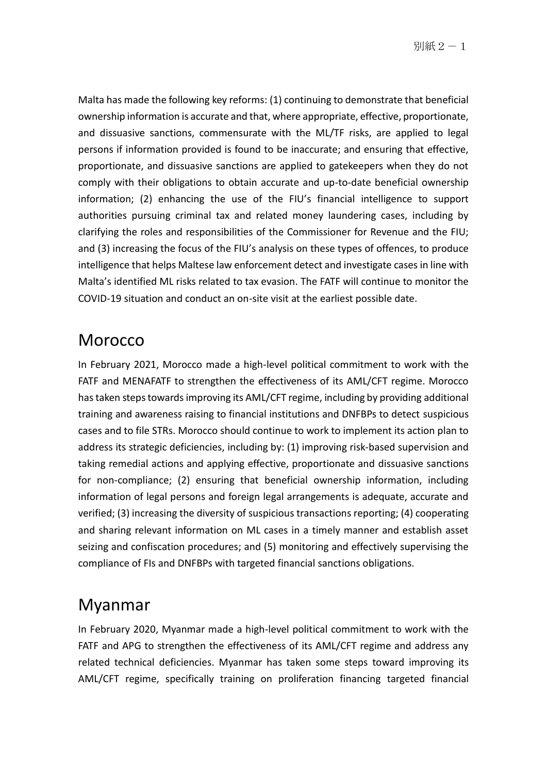別紙 $2-1$ 

Malta has made the following key reforms: (1) continuing to demonstrate that beneficial ownership information is accurate and that, where appropriate, effective, proportionate, and dissuasive sanctions, commensurate with the ML/TF risks, are applied to legal persons if information provided is found to be inaccurate; and ensuring that effective, proportionate, and dissuasive sanctions are applied to gatekeepers when they do not comply with their obligations to obtain accurate and up-to-date beneficial ownership information; (2) enhancing the use of the FIU's financial intelligence to support authorities pursuing criminal tax and related money laundering cases, including by clarifying the roles and responsibilities of the Commissioner for Revenue and the FIU; and (3) increasing the focus of the FIU's analysis on these types of offences, to produce intelligence that helps Maltese law enforcement detect and investigate cases in line with Malta's identified ML risks related to tax evasion. The FATF will continue to monitor the COVID-19 situation and conduct an on-site visit at the earliest possible date.

#### Morocco

In February 2021, Morocco made a high-level political commitment to work with the FATF and MENAFATF to strengthen the effectiveness of its AML/CFT regime. Morocco has taken steps towards improving its AML/CFT regime, including by providing additional training and awareness raising to financial institutions and DNFBPs to detect suspicious cases and to file STRs. Morocco should continue to work to implement its action plan to address its strategic deficiencies, including by: (1) improving risk-based supervision and taking remedial actions and applying effective, proportionate and dissuasive sanctions for non-compliance; (2) ensuring that beneficial ownership information, including information of legal persons and foreign legal arrangements is adequate, accurate and verified; (3) increasing the diversity of suspicious transactions reporting; (4) cooperating and sharing relevant information on ML cases in a timely manner and establish asset seizing and confiscation procedures; and (5) monitoring and effectively supervising the compliance of FIs and DNFBPs with targeted financial sanctions obligations.

#### Myanmar

In February 2020, Myanmar made a high-level political commitment to work with the FATF and APG to strengthen the effectiveness of its AML/CFT regime and address any related technical deficiencies. Myanmar has taken some steps toward improving its AML/CFT regime, specifically training on proliferation financing targeted financial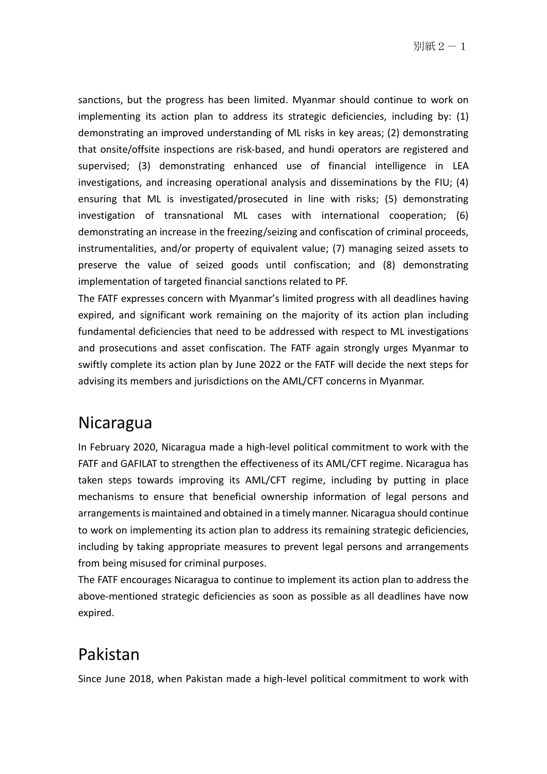別紙 $2-1$ 

sanctions, but the progress has been limited. Myanmar should continue to work on implementing its action plan to address its strategic deficiencies, including by: (1) demonstrating an improved understanding of ML risks in key areas; (2) demonstrating that onsite/offsite inspections are risk-based, and hundi operators are registered and supervised; (3) demonstrating enhanced use of financial intelligence in LEA investigations, and increasing operational analysis and disseminations by the FIU; (4) ensuring that ML is investigated/prosecuted in line with risks; (5) demonstrating investigation of transnational ML cases with international cooperation; (6) demonstrating an increase in the freezing/seizing and confiscation of criminal proceeds, instrumentalities, and/or property of equivalent value; (7) managing seized assets to preserve the value of seized goods until confiscation; and (8) demonstrating implementation of targeted financial sanctions related to PF.

The FATF expresses concern with Myanmar's limited progress with all deadlines having expired, and significant work remaining on the majority of its action plan including fundamental deficiencies that need to be addressed with respect to ML investigations and prosecutions and asset confiscation. The FATF again strongly urges Myanmar to swiftly complete its action plan by June 2022 or the FATF will decide the next steps for advising its members and jurisdictions on the AML/CFT concerns in Myanmar.

#### Nicaragua

In February 2020, Nicaragua made a high-level political commitment to work with the FATF and GAFILAT to strengthen the effectiveness of its AML/CFT regime. Nicaragua has taken steps towards improving its AML/CFT regime, including by putting in place mechanisms to ensure that beneficial ownership information of legal persons and arrangements is maintained and obtained in a timely manner. Nicaragua should continue to work on implementing its action plan to address its remaining strategic deficiencies, including by taking appropriate measures to prevent legal persons and arrangements from being misused for criminal purposes.

The FATF encourages Nicaragua to continue to implement its action plan to address the above-mentioned strategic deficiencies as soon as possible as all deadlines have now expired.

#### Pakistan

Since June 2018, when Pakistan made a high-level political commitment to work with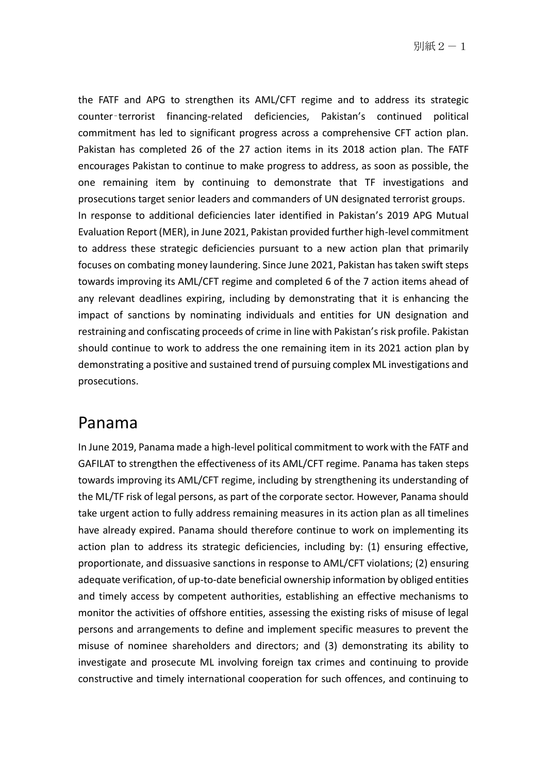the FATF and APG to strengthen its AML/CFT regime and to address its strategic counter‑terrorist financing-related deficiencies, Pakistan's continued political commitment has led to significant progress across a comprehensive CFT action plan. Pakistan has completed 26 of the 27 action items in its 2018 action plan. The FATF encourages Pakistan to continue to make progress to address, as soon as possible, the one remaining item by continuing to demonstrate that TF investigations and prosecutions target senior leaders and commanders of UN designated terrorist groups. In response to additional deficiencies later identified in Pakistan's 2019 APG Mutual Evaluation Report (MER), in June 2021, Pakistan provided further high-level commitment to address these strategic deficiencies pursuant to a new action plan that primarily focuses on combating money laundering. Since June 2021, Pakistan has taken swift steps towards improving its AML/CFT regime and completed 6 of the 7 action items ahead of any relevant deadlines expiring, including by demonstrating that it is enhancing the impact of sanctions by nominating individuals and entities for UN designation and restraining and confiscating proceeds of crime in line with Pakistan's risk profile. Pakistan should continue to work to address the one remaining item in its 2021 action plan by demonstrating a positive and sustained trend of pursuing complex ML investigations and prosecutions.

#### Panama

In June 2019, Panama made a high-level political commitment to work with the FATF and GAFILAT to strengthen the effectiveness of its AML/CFT regime. Panama has taken steps towards improving its AML/CFT regime, including by strengthening its understanding of the ML/TF risk of legal persons, as part of the corporate sector. However, Panama should take urgent action to fully address remaining measures in its action plan as all timelines have already expired. Panama should therefore continue to work on implementing its action plan to address its strategic deficiencies, including by: (1) ensuring effective, proportionate, and dissuasive sanctions in response to AML/CFT violations; (2) ensuring adequate verification, of up-to-date beneficial ownership information by obliged entities and timely access by competent authorities, establishing an effective mechanisms to monitor the activities of offshore entities, assessing the existing risks of misuse of legal persons and arrangements to define and implement specific measures to prevent the misuse of nominee shareholders and directors; and (3) demonstrating its ability to investigate and prosecute ML involving foreign tax crimes and continuing to provide constructive and timely international cooperation for such offences, and continuing to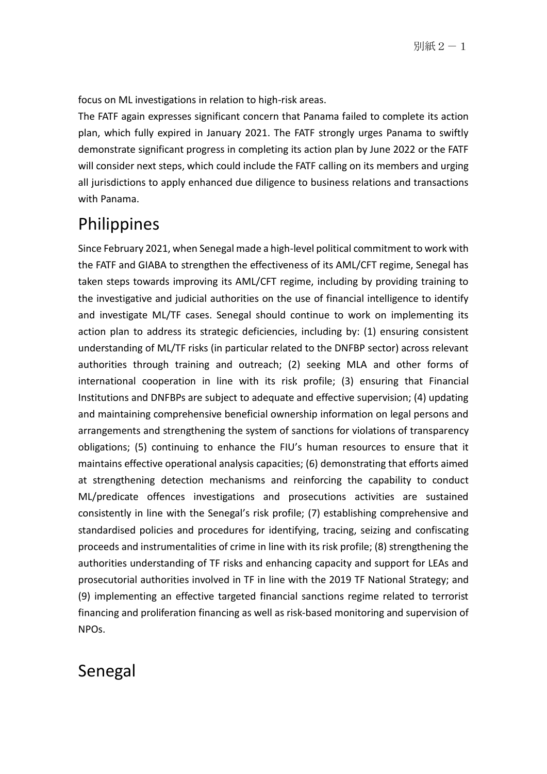focus on ML investigations in relation to high-risk areas.

The FATF again expresses significant concern that Panama failed to complete its action plan, which fully expired in January 2021. The FATF strongly urges Panama to swiftly demonstrate significant progress in completing its action plan by June 2022 or the FATF will consider next steps, which could include the FATF calling on its members and urging all jurisdictions to apply enhanced due diligence to business relations and transactions with Panama.

## Philippines

Since February 2021, when Senegal made a high-level political commitment to work with the FATF and GIABA to strengthen the effectiveness of its AML/CFT regime, Senegal has taken steps towards improving its AML/CFT regime, including by providing training to the investigative and judicial authorities on the use of financial intelligence to identify and investigate ML/TF cases. Senegal should continue to work on implementing its action plan to address its strategic deficiencies, including by: (1) ensuring consistent understanding of ML/TF risks (in particular related to the DNFBP sector) across relevant authorities through training and outreach; (2) seeking MLA and other forms of international cooperation in line with its risk profile; (3) ensuring that Financial Institutions and DNFBPs are subject to adequate and effective supervision; (4) updating and maintaining comprehensive beneficial ownership information on legal persons and arrangements and strengthening the system of sanctions for violations of transparency obligations; (5) continuing to enhance the FIU's human resources to ensure that it maintains effective operational analysis capacities; (6) demonstrating that efforts aimed at strengthening detection mechanisms and reinforcing the capability to conduct ML/predicate offences investigations and prosecutions activities are sustained consistently in line with the Senegal's risk profile; (7) establishing comprehensive and standardised policies and procedures for identifying, tracing, seizing and confiscating proceeds and instrumentalities of crime in line with its risk profile; (8) strengthening the authorities understanding of TF risks and enhancing capacity and support for LEAs and prosecutorial authorities involved in TF in line with the 2019 TF National Strategy; and (9) implementing an effective targeted financial sanctions regime related to terrorist financing and proliferation financing as well as risk-based monitoring and supervision of NPOs.

#### Senegal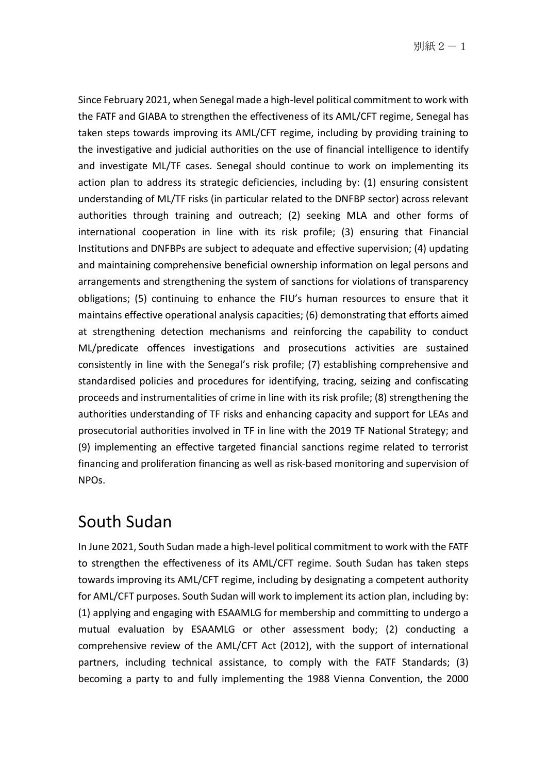Since February 2021, when Senegal made a high-level political commitment to work with the FATF and GIABA to strengthen the effectiveness of its AML/CFT regime, Senegal has taken steps towards improving its AML/CFT regime, including by providing training to the investigative and judicial authorities on the use of financial intelligence to identify and investigate ML/TF cases. Senegal should continue to work on implementing its action plan to address its strategic deficiencies, including by: (1) ensuring consistent understanding of ML/TF risks (in particular related to the DNFBP sector) across relevant authorities through training and outreach; (2) seeking MLA and other forms of international cooperation in line with its risk profile; (3) ensuring that Financial Institutions and DNFBPs are subject to adequate and effective supervision; (4) updating and maintaining comprehensive beneficial ownership information on legal persons and arrangements and strengthening the system of sanctions for violations of transparency obligations; (5) continuing to enhance the FIU's human resources to ensure that it maintains effective operational analysis capacities; (6) demonstrating that efforts aimed at strengthening detection mechanisms and reinforcing the capability to conduct ML/predicate offences investigations and prosecutions activities are sustained consistently in line with the Senegal's risk profile; (7) establishing comprehensive and standardised policies and procedures for identifying, tracing, seizing and confiscating proceeds and instrumentalities of crime in line with its risk profile; (8) strengthening the authorities understanding of TF risks and enhancing capacity and support for LEAs and prosecutorial authorities involved in TF in line with the 2019 TF National Strategy; and (9) implementing an effective targeted financial sanctions regime related to terrorist financing and proliferation financing as well as risk-based monitoring and supervision of NPOs.

## South Sudan

In June 2021, South Sudan made a high-level political commitment to work with the FATF to strengthen the effectiveness of its AML/CFT regime. South Sudan has taken steps towards improving its AML/CFT regime, including by designating a competent authority for AML/CFT purposes. South Sudan will work to implement its action plan, including by: (1) applying and engaging with ESAAMLG for membership and committing to undergo a mutual evaluation by ESAAMLG or other assessment body; (2) conducting a comprehensive review of the AML/CFT Act (2012), with the support of international partners, including technical assistance, to comply with the FATF Standards; (3) becoming a party to and fully implementing the 1988 Vienna Convention, the 2000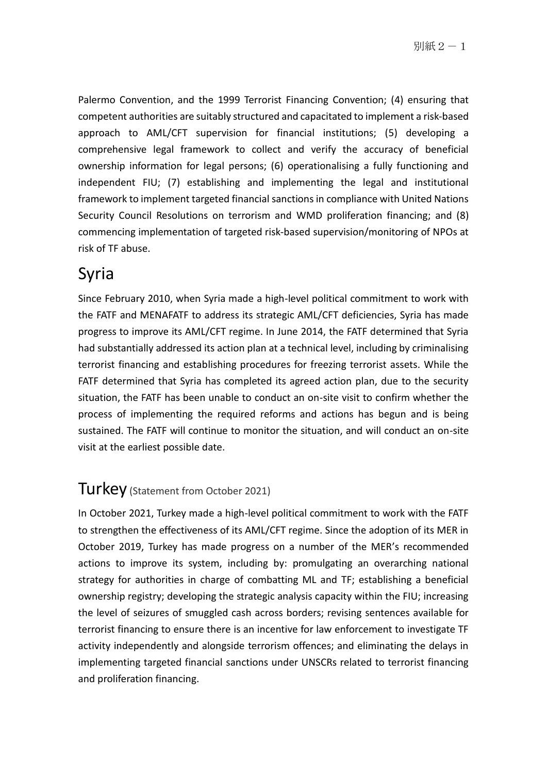Palermo Convention, and the 1999 Terrorist Financing Convention; (4) ensuring that competent authorities are suitably structured and capacitated to implement a risk-based approach to AML/CFT supervision for financial institutions; (5) developing a comprehensive legal framework to collect and verify the accuracy of beneficial ownership information for legal persons; (6) operationalising a fully functioning and independent FIU; (7) establishing and implementing the legal and institutional framework to implement targeted financial sanctions in compliance with United Nations Security Council Resolutions on terrorism and WMD proliferation financing; and (8) commencing implementation of targeted risk-based supervision/monitoring of NPOs at risk of TF abuse.

## Syria

Since February 2010, when Syria made a high-level political commitment to work with the FATF and MENAFATF to address its strategic AML/CFT deficiencies, Syria has made progress to improve its AML/CFT regime. In June 2014, the FATF determined that Syria had substantially addressed its action plan at a technical level, including by criminalising terrorist financing and establishing procedures for freezing terrorist assets. While the FATF determined that Syria has completed its agreed action plan, due to the security situation, the FATF has been unable to conduct an on-site visit to confirm whether the process of implementing the required reforms and actions has begun and is being sustained. The FATF will continue to monitor the situation, and will conduct an on-site visit at the earliest possible date.

#### Turkey (Statement from October 2021)

In October 2021, Turkey made a high-level political commitment to work with the FATF to strengthen the effectiveness of its AML/CFT regime. Since the adoption of its MER in October 2019, Turkey has made progress on a number of the MER's recommended actions to improve its system, including by: promulgating an overarching national strategy for authorities in charge of combatting ML and TF; establishing a beneficial ownership registry; developing the strategic analysis capacity within the FIU; increasing the level of seizures of smuggled cash across borders; revising sentences available for terrorist financing to ensure there is an incentive for law enforcement to investigate TF activity independently and alongside terrorism offences; and eliminating the delays in implementing targeted financial sanctions under UNSCRs related to terrorist financing and proliferation financing.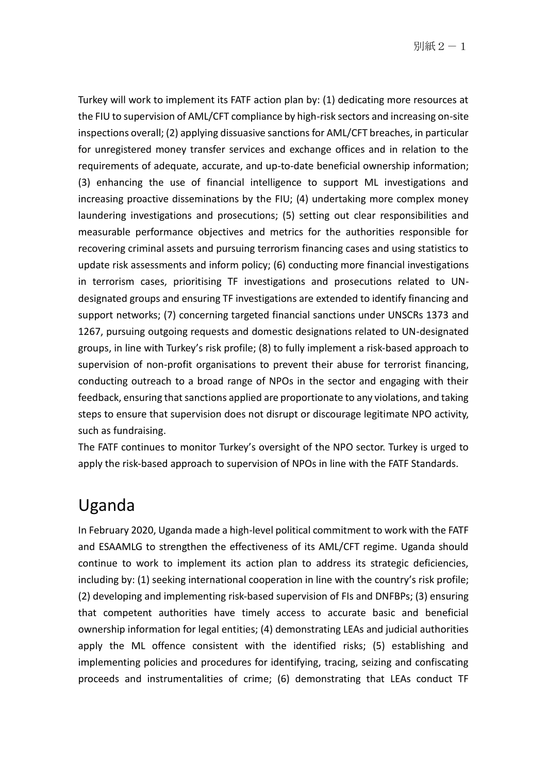Turkey will work to implement its FATF action plan by: (1) dedicating more resources at the FIU to supervision of AML/CFT compliance by high-risk sectors and increasing on-site inspections overall; (2) applying dissuasive sanctions for AML/CFT breaches, in particular for unregistered money transfer services and exchange offices and in relation to the requirements of adequate, accurate, and up-to-date beneficial ownership information; (3) enhancing the use of financial intelligence to support ML investigations and increasing proactive disseminations by the FIU; (4) undertaking more complex money laundering investigations and prosecutions; (5) setting out clear responsibilities and measurable performance objectives and metrics for the authorities responsible for recovering criminal assets and pursuing terrorism financing cases and using statistics to update risk assessments and inform policy; (6) conducting more financial investigations in terrorism cases, prioritising TF investigations and prosecutions related to UNdesignated groups and ensuring TF investigations are extended to identify financing and support networks; (7) concerning targeted financial sanctions under UNSCRs 1373 and 1267, pursuing outgoing requests and domestic designations related to UN-designated groups, in line with Turkey's risk profile; (8) to fully implement a risk-based approach to supervision of non-profit organisations to prevent their abuse for terrorist financing, conducting outreach to a broad range of NPOs in the sector and engaging with their feedback, ensuring that sanctions applied are proportionate to any violations, and taking steps to ensure that supervision does not disrupt or discourage legitimate NPO activity, such as fundraising.

The FATF continues to monitor Turkey's oversight of the NPO sector. Turkey is urged to apply the risk-based approach to supervision of NPOs in line with the FATF Standards.

#### Uganda

In February 2020, Uganda made a high-level political commitment to work with the FATF and ESAAMLG to strengthen the effectiveness of its AML/CFT regime. Uganda should continue to work to implement its action plan to address its strategic deficiencies, including by: (1) seeking international cooperation in line with the country's risk profile; (2) developing and implementing risk-based supervision of FIs and DNFBPs; (3) ensuring that competent authorities have timely access to accurate basic and beneficial ownership information for legal entities; (4) demonstrating LEAs and judicial authorities apply the ML offence consistent with the identified risks; (5) establishing and implementing policies and procedures for identifying, tracing, seizing and confiscating proceeds and instrumentalities of crime; (6) demonstrating that LEAs conduct TF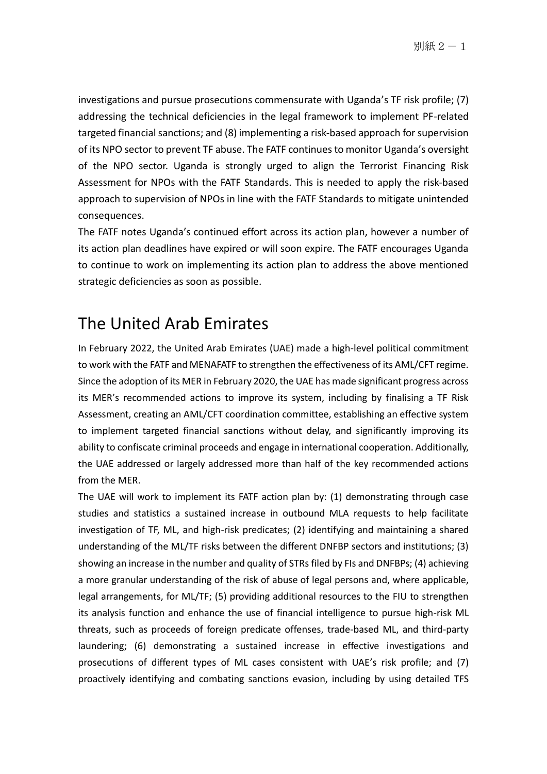investigations and pursue prosecutions commensurate with Uganda's TF risk profile; (7) addressing the technical deficiencies in the legal framework to implement PF-related targeted financial sanctions; and (8) implementing a risk-based approach for supervision of its NPO sector to prevent TF abuse. The FATF continues to monitor Uganda's oversight of the NPO sector. Uganda is strongly urged to align the Terrorist Financing Risk Assessment for NPOs with the FATF Standards. This is needed to apply the risk-based approach to supervision of NPOs in line with the FATF Standards to mitigate unintended consequences.

The FATF notes Uganda's continued effort across its action plan, however a number of its action plan deadlines have expired or will soon expire. The FATF encourages Uganda to continue to work on implementing its action plan to address the above mentioned strategic deficiencies as soon as possible.

#### The United Arab Emirates

In February 2022, the United Arab Emirates (UAE) made a high-level political commitment to work with the FATF and MENAFATF to strengthen the effectiveness of its AML/CFT regime. Since the adoption of its MER in February 2020, the UAE has made significant progress across its MER's recommended actions to improve its system, including by finalising a TF Risk Assessment, creating an AML/CFT coordination committee, establishing an effective system to implement targeted financial sanctions without delay, and significantly improving its ability to confiscate criminal proceeds and engage in international cooperation. Additionally, the UAE addressed or largely addressed more than half of the key recommended actions from the MER.

The UAE will work to implement its FATF action plan by: (1) demonstrating through case studies and statistics a sustained increase in outbound MLA requests to help facilitate investigation of TF, ML, and high-risk predicates; (2) identifying and maintaining a shared understanding of the ML/TF risks between the different DNFBP sectors and institutions; (3) showing an increase in the number and quality of STRs filed by FIs and DNFBPs; (4) achieving a more granular understanding of the risk of abuse of legal persons and, where applicable, legal arrangements, for ML/TF; (5) providing additional resources to the FIU to strengthen its analysis function and enhance the use of financial intelligence to pursue high-risk ML threats, such as proceeds of foreign predicate offenses, trade-based ML, and third-party laundering; (6) demonstrating a sustained increase in effective investigations and prosecutions of different types of ML cases consistent with UAE's risk profile; and (7) proactively identifying and combating sanctions evasion, including by using detailed TFS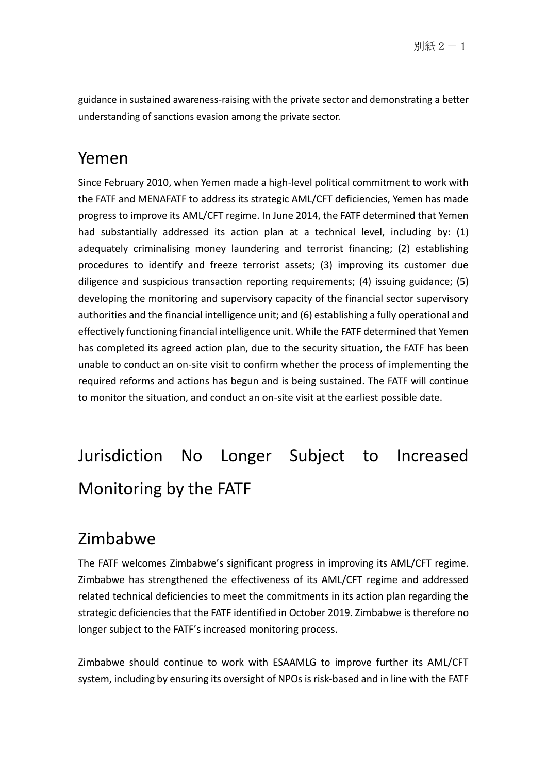guidance in sustained awareness-raising with the private sector and demonstrating a better understanding of sanctions evasion among the private sector.

#### Yemen

Since February 2010, when Yemen made a high-level political commitment to work with the FATF and MENAFATF to address its strategic AML/CFT deficiencies, Yemen has made progress to improve its AML/CFT regime. In June 2014, the FATF determined that Yemen had substantially addressed its action plan at a technical level, including by: (1) adequately criminalising money laundering and terrorist financing; (2) establishing procedures to identify and freeze terrorist assets; (3) improving its customer due diligence and suspicious transaction reporting requirements; (4) issuing guidance; (5) developing the monitoring and supervisory capacity of the financial sector supervisory authorities and the financial intelligence unit; and (6) establishing a fully operational and effectively functioning financial intelligence unit. While the FATF determined that Yemen has completed its agreed action plan, due to the security situation, the FATF has been unable to conduct an on-site visit to confirm whether the process of implementing the required reforms and actions has begun and is being sustained. The FATF will continue to monitor the situation, and conduct an on-site visit at the earliest possible date.

## Jurisdiction No Longer Subject to Increased Monitoring by the FATF

#### Zimbabwe

The FATF welcomes Zimbabwe's significant progress in improving its AML/CFT regime. Zimbabwe has strengthened the effectiveness of its AML/CFT regime and addressed related technical deficiencies to meet the commitments in its action plan regarding the strategic deficiencies that the FATF identified in October 2019. Zimbabwe is therefore no longer subject to the FATF's increased monitoring process.

Zimbabwe should continue to work with ESAAMLG to improve further its AML/CFT system, including by ensuring its oversight of NPOs is risk-based and in line with the FATF